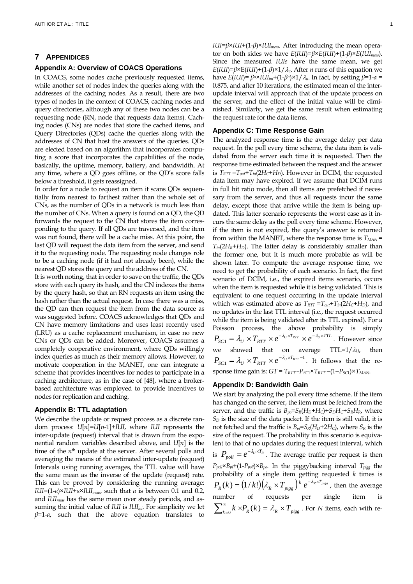## **7 APPENIDICES**

## **Appendix A: Overview of COACS Operations**

In COACS, some nodes cache previously requested items, while another set of nodes index the queries along with the addresses of the caching nodes. As a result, there are two types of nodes in the context of COACS, caching nodes and query directories, although any of these two nodes can be a requesting node (RN, node that requests data items). Caching nodes (CNs) are nodes that store the cached items, and Query Directories (QDs) cache the queries along with the addresses of CN that host the answers of the queries. QDs are elected based on an algorithm that incorporates computing a score that incorporates the capabilities of the node, basically, the uptime, memory, battery, and bandwidth. At any time, where a QD goes offline, or the QD's score falls below a threshold, it gets reassigned.

In order for a node to request an item it scans QDs sequentially from nearest to farthest rather than the whole set of CNs, as the number of QDs in a network is much less than the number of CNs. When a query is found on a QD, the QD forwards the request to the CN that stores the item corresponding to the query. If all QDs are traversed, and the item was not found, there will be a cache miss. At this point, the last QD will request the data item from the server, and send it to the requesting node. The requesting node changes role to be a caching node (if it had not already been), while the nearest QD stores the query and the address of the CN.

It is worth noting, that in order to save on the traffic, the QDs store with each query its hash, and the CN indexes the items by the query hash, so that an RN requests an item using the hash rather than the actual request. In case there was a miss, the QD can then request the item from the data source as was suggested before. COACS acknowledges that QDs and CN have memory limitations and uses least recently used (LRU) as a cache replacement mechanism, in case no new CNs or QDs can be added. Moreover, COACS assumes a completely cooperative environment, where QDs willingly index queries as much as their memory allows. However, to motivate cooperation in the MANET, one can integrate a scheme that provides incentives for nodes to participate in a caching architecture, as in the case of [48], where a brokerbased architecture was employed to provide incentives to nodes for replication and caching.

### **Appendix B: TTL adaptation**

We describe the update or request process as a discrete random process: *U*[*n*]=*U*[*n*-1]+*IUI*, where *IUI* represents the inter-update (request) interval that is drawn from the exponential random variables described above, and *U*[*n*] is the time of the *n*<sup>th</sup> update at the server. After several polls and averaging the means of the estimated inter-update (request) Intervals using running averages, the TTL value will have the same mean as the inverse of the update (request) rate. This can be proved by considering the running average: *IUI*=(1-*α*)×*IUI*+*α*×*IUImeas*, such that *α* is between 0.1 and 0.2, and *IUImeas* has the same mean over steady periods, and assuming the initial value of *IUI* is *IUIini*. For simplicity we let *β*=1-*α*, such that the above equation translates to

*IUI*=*β*×*IUI*+(1-*β*)×*IUImeas*. After introducing the mean operator on both sides we have *E*(*IUI*)=*β*×*E*(*IUI*)+(1-*β*)×*E*(*IUImeas*). Since the measured *IUIs* have the same mean, we get  $E(III)=\beta\times E(III)+(1-\beta)\times1/\lambda_u$ . After *n* runs of this equation we have *E*(*IUI*)=  $β^n \times IUI_{ini}+(1-β^n) \times 1/\lambda_u$ . In fact, by setting  $β=1-a$ 0.875, and after 10 iterations, the estimated mean of the interupdate interval will approach that of the update process on the server, and the effect of the initial value will be diminished. Similarly, we get the same result when estimating the request rate for the data items.

## **Appendix C: Time Response Gain**

The analyzed response time is the average delay per data request. In the poll every time scheme, the data item is validated from the server each time it is requested. Then the response time estimated between the request and the answer is  $T_{RTT} = T_{out} + T_{in} (2H_C + H_D)$ . However in DCIM, the requested data item may have expired. If we assume that DCIM runs in full hit ratio mode, then all items are prefetched if necessary from the server, and thus all requests incur the same delay, except those that arrive while the item is being updated. This latter scenario represents the worst case as it incurs the same delay as the poll every time scheme. However, if the item is not expired, the query's answer is returned from within the MANET, where the response time is  $T_{MAN}$  =  $T_{in}(2H_R+H_D)$ . The latter delay is considerably smaller than the former one, but it is much more probable as will be shown later. To compute the average response time, we need to get the probability of each scenario. In fact, the first scenario of DCIM, i.e., the expired items scenario, occurs when the item is requested while it is being validated. This is equivalent to one request occurring in the update interval which was estimated above as  $T_{RTT} = T_{out} + T_{in}(2H_C + H_D)$ , and no updates in the last TTL interval (i.e., the request occurred while the item is being validated after its TTL expired). For a Poisson process, the above probability is simply  $P_{\text{SC1}} = \lambda_U \times T_{\text{RTT}} \times e^{-\lambda_U \times T_{\text{RTT}}} \times e^{-\lambda_U \times TTL}$ . However since we showed that on average  $\text{TTL}=1/\lambda_{\text{U}}$ , then 1  $P_{\text{SC1}} = \lambda_U \times T_{\text{RTT}} \times e^{-\lambda_U \times T_{\text{RTT}} - 1}$ . It follows that the response time gain is:  $GT = T_{RTT} - P_{SC1} \times T_{RTT} - (1 - P_{SC1}) \times T_{MAN}$ .

#### **Appendix D: Bandwidth Gain**

We start by analyzing the poll every time scheme. If the item has changed on the server, the item must be fetched from the server, and the traffic is  $B_{po} = S_R(H_D + H_C) + S_D H_C + S_R H_R$ , where  $S_D$  is the size of the data packet. If the item is still valid, it is not fetched and the traffic is  $B_{pi} = S_R(H_D + 2H_C)$ , where  $S_R$  is the size of the request. The probability in this scenario is equivalent to that of no updates during the request interval, which is  $P_{\text{poll}} = e^{-\lambda_U \times T_R}$ . The average traffic per request is then  $P_{poll} \times B_{pi} + (1-P_{poll}) \times B_{po}$ . In the piggybacking interval  $T_{pigg}$  the probability of a single item getting requested *k* times is  $P_R(k) = (1/k!) \left( \lambda_R \times T_{pigg} \right) k \ e^{-\lambda_R \times T_{pigg}}$  , then the average number of requests per single item is  $\sum_{k=0}^{\infty} k \times P_R(k) = \lambda_R \times T_{pigg}$ . For *N* items, each with re